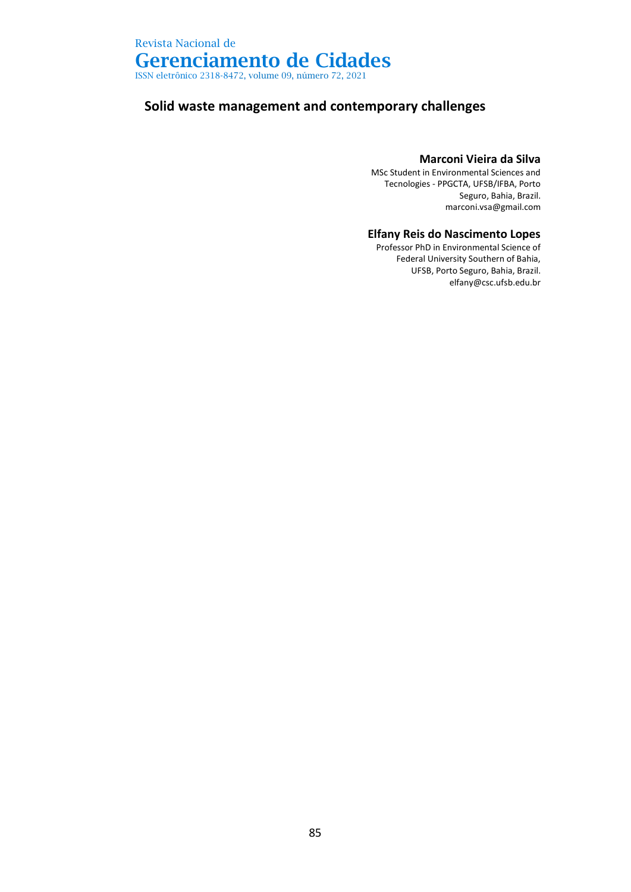ISSN eletrônico 2318-8472, volume 09, número 72, 2021

### **Solid waste management and contemporary challenges**

#### **Marconi Vieira da Silva**

MSc Student in Environmental Sciences and Tecnologies - PPGCTA, UFSB/IFBA, Porto Seguro, Bahia, Brazil. marconi.vsa@gmail.com

#### **Elfany Reis do Nascimento Lopes**

Professor PhD in Environmental Science of Federal University Southern of Bahia, UFSB, Porto Seguro, Bahia, Brazil. elfany@csc.ufsb.edu.br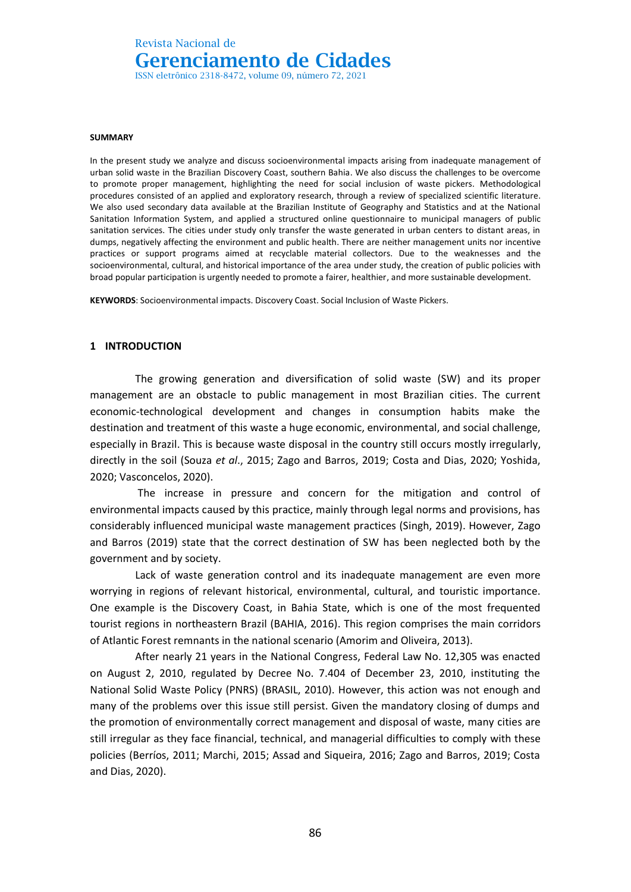ISSN eletrônico 2318-8472, volume 09, número 72, 2021

#### **SUMMARY**

In the present study we analyze and discuss socioenvironmental impacts arising from inadequate management of urban solid waste in the Brazilian Discovery Coast, southern Bahia. We also discuss the challenges to be overcome to promote proper management, highlighting the need for social inclusion of waste pickers. Methodological procedures consisted of an applied and exploratory research, through a review of specialized scientific literature. We also used secondary data available at the Brazilian Institute of Geography and Statistics and at the National Sanitation Information System, and applied a structured online questionnaire to municipal managers of public sanitation services. The cities under study only transfer the waste generated in urban centers to distant areas, in dumps, negatively affecting the environment and public health. There are neither management units nor incentive practices or support programs aimed at recyclable material collectors. Due to the weaknesses and the socioenvironmental, cultural, and historical importance of the area under study, the creation of public policies with broad popular participation is urgently needed to promote a fairer, healthier, and more sustainable development.

**KEYWORDS**: Socioenvironmental impacts. Discovery Coast. Social Inclusion of Waste Pickers.

#### **1 INTRODUCTION**

The growing generation and diversification of solid waste (SW) and its proper management are an obstacle to public management in most Brazilian cities. The current economic-technological development and changes in consumption habits make the destination and treatment of this waste a huge economic, environmental, and social challenge, especially in Brazil. This is because waste disposal in the country still occurs mostly irregularly, directly in the soil (Souza *et al*., 2015; Zago and Barros, 2019; Costa and Dias, 2020; Yoshida, 2020; Vasconcelos, 2020).

The increase in pressure and concern for the mitigation and control of environmental impacts caused by this practice, mainly through legal norms and provisions, has considerably influenced municipal waste management practices (Singh, 2019). However, Zago and Barros (2019) state that the correct destination of SW has been neglected both by the government and by society.

Lack of waste generation control and its inadequate management are even more worrying in regions of relevant historical, environmental, cultural, and touristic importance. One example is the Discovery Coast, in Bahia State, which is one of the most frequented tourist regions in northeastern Brazil (BAHIA, 2016). This region comprises the main corridors of Atlantic Forest remnants in the national scenario (Amorim and Oliveira, 2013).

After nearly 21 years in the National Congress, Federal Law No. 12,305 was enacted on August 2, 2010, regulated by Decree No. 7.404 of December 23, 2010, instituting the National Solid Waste Policy (PNRS) (BRASIL, 2010). However, this action was not enough and many of the problems over this issue still persist. Given the mandatory closing of dumps and the promotion of environmentally correct management and disposal of waste, many cities are still irregular as they face financial, technical, and managerial difficulties to comply with these policies (Berríos, 2011; Marchi, 2015; Assad and Siqueira, 2016; Zago and Barros, 2019; Costa and Dias, 2020).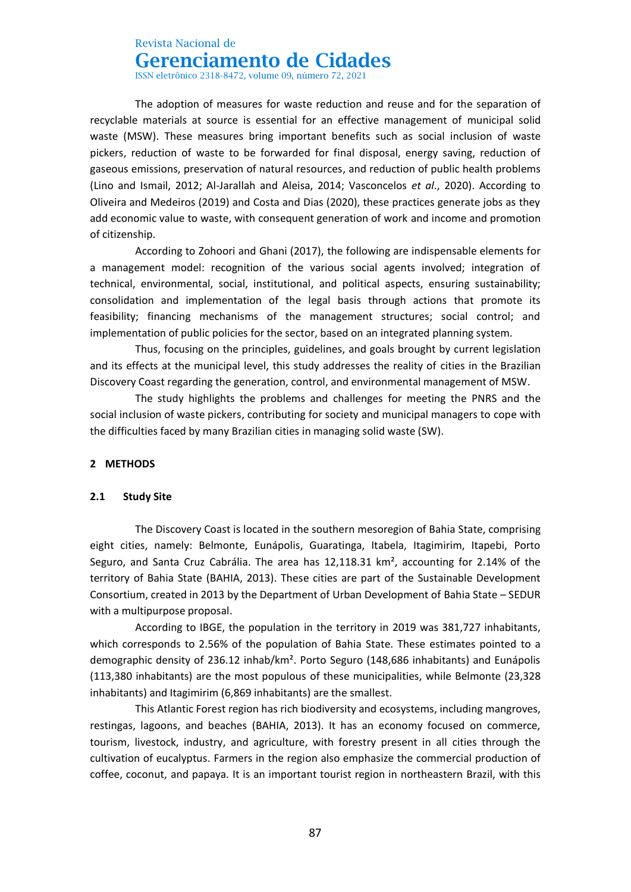## Revista Nacional de

## **Gerenciamento de Cidades**

ISSN eletrônico 2318-8472, volume 09, número 72, 2021

The adoption of measures for waste reduction and reuse and for the separation of recyclable materials at source is essential for an effective management of municipal solid waste (MSW). These measures bring important benefits such as social inclusion of waste pickers, reduction of waste to be forwarded for final disposal, energy saving, reduction of gaseous emissions, preservation of natural resources, and reduction of public health problems (Lino and Ismail, 2012; Al-Jarallah and Aleisa, 2014; Vasconcelos *et al*., 2020). According to Oliveira and Medeiros (2019) and Costa and Dias (2020), these practices generate jobs as they add economic value to waste, with consequent generation of work and income and promotion of citizenship.

According to Zohoori and Ghani (2017), the following are indispensable elements for a management model: recognition of the various social agents involved; integration of technical, environmental, social, institutional, and political aspects, ensuring sustainability; consolidation and implementation of the legal basis through actions that promote its feasibility; financing mechanisms of the management structures; social control; and implementation of public policies for the sector, based on an integrated planning system.

Thus, focusing on the principles, guidelines, and goals brought by current legislation and its effects at the municipal level, this study addresses the reality of cities in the Brazilian Discovery Coast regarding the generation, control, and environmental management of MSW.

The study highlights the problems and challenges for meeting the PNRS and the social inclusion of waste pickers, contributing for society and municipal managers to cope with the difficulties faced by many Brazilian cities in managing solid waste (SW).

#### **2 METHODS**

#### **2.1 Study Site**

The Discovery Coast is located in the southern mesoregion of Bahia State, comprising eight cities, namely: Belmonte, Eunápolis, Guaratinga, Itabela, Itagimirim, Itapebi, Porto Seguro, and Santa Cruz Cabrália. The area has 12,118.31 km², accounting for 2.14% of the territory of Bahia State (BAHIA, 2013). These cities are part of the Sustainable Development Consortium, created in 2013 by the Department of Urban Development of Bahia State – SEDUR with a multipurpose proposal.

According to IBGE, the population in the territory in 2019 was 381,727 inhabitants, which corresponds to 2.56% of the population of Bahia State. These estimates pointed to a demographic density of 236.12 inhab/km². Porto Seguro (148,686 inhabitants) and Eunápolis (113,380 inhabitants) are the most populous of these municipalities, while Belmonte (23,328 inhabitants) and Itagimirim (6,869 inhabitants) are the smallest.

This Atlantic Forest region has rich biodiversity and ecosystems, including mangroves, restingas, lagoons, and beaches (BAHIA, 2013). It has an economy focused on commerce, tourism, livestock, industry, and agriculture, with forestry present in all cities through the cultivation of eucalyptus. Farmers in the region also emphasize the commercial production of coffee, coconut, and papaya. It is an important tourist region in northeastern Brazil, with this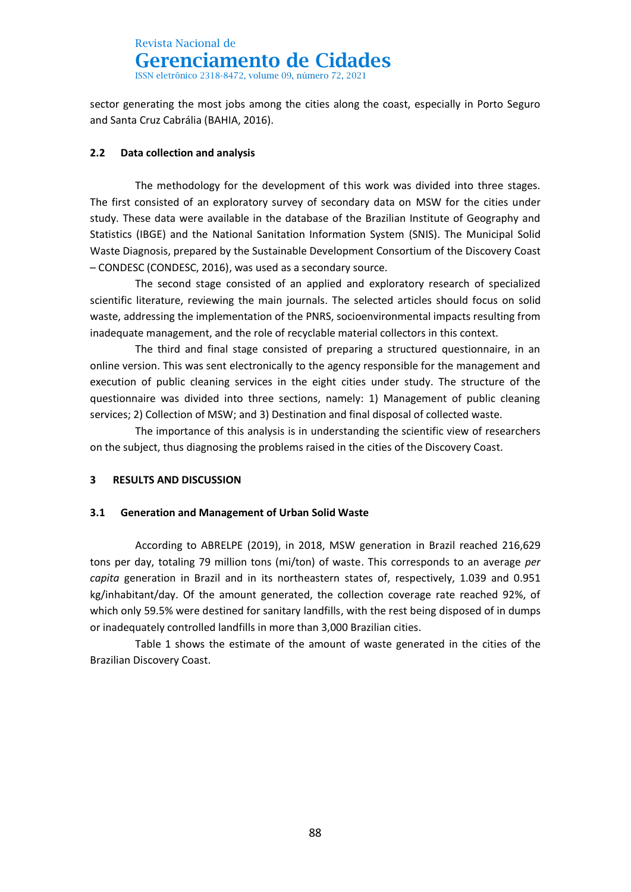ISSN eletrônico 2318-8472, volume 09, número 72, 2021

sector generating the most jobs among the cities along the coast, especially in Porto Seguro and Santa Cruz Cabrália (BAHIA, 2016).

### **2.2 Data collection and analysis**

The methodology for the development of this work was divided into three stages. The first consisted of an exploratory survey of secondary data on MSW for the cities under study. These data were available in the database of the Brazilian Institute of Geography and Statistics (IBGE) and the National Sanitation Information System (SNIS). The Municipal Solid Waste Diagnosis, prepared by the Sustainable Development Consortium of the Discovery Coast – CONDESC (CONDESC, 2016), was used as a secondary source.

The second stage consisted of an applied and exploratory research of specialized scientific literature, reviewing the main journals. The selected articles should focus on solid waste, addressing the implementation of the PNRS, socioenvironmental impacts resulting from inadequate management, and the role of recyclable material collectors in this context.

The third and final stage consisted of preparing a structured questionnaire, in an online version. This was sent electronically to the agency responsible for the management and execution of public cleaning services in the eight cities under study. The structure of the questionnaire was divided into three sections, namely: 1) Management of public cleaning services; 2) Collection of MSW; and 3) Destination and final disposal of collected waste.

The importance of this analysis is in understanding the scientific view of researchers on the subject, thus diagnosing the problems raised in the cities of the Discovery Coast.

### **3 RESULTS AND DISCUSSION**

#### **3.1 Generation and Management of Urban Solid Waste**

According to ABRELPE (2019), in 2018, MSW generation in Brazil reached 216,629 tons per day, totaling 79 million tons (mi/ton) of waste. This corresponds to an average *per capita* generation in Brazil and in its northeastern states of, respectively, 1.039 and 0.951 kg/inhabitant/day. Of the amount generated, the collection coverage rate reached 92%, of which only 59.5% were destined for sanitary landfills, with the rest being disposed of in dumps or inadequately controlled landfills in more than 3,000 Brazilian cities.

Table 1 shows the estimate of the amount of waste generated in the cities of the Brazilian Discovery Coast.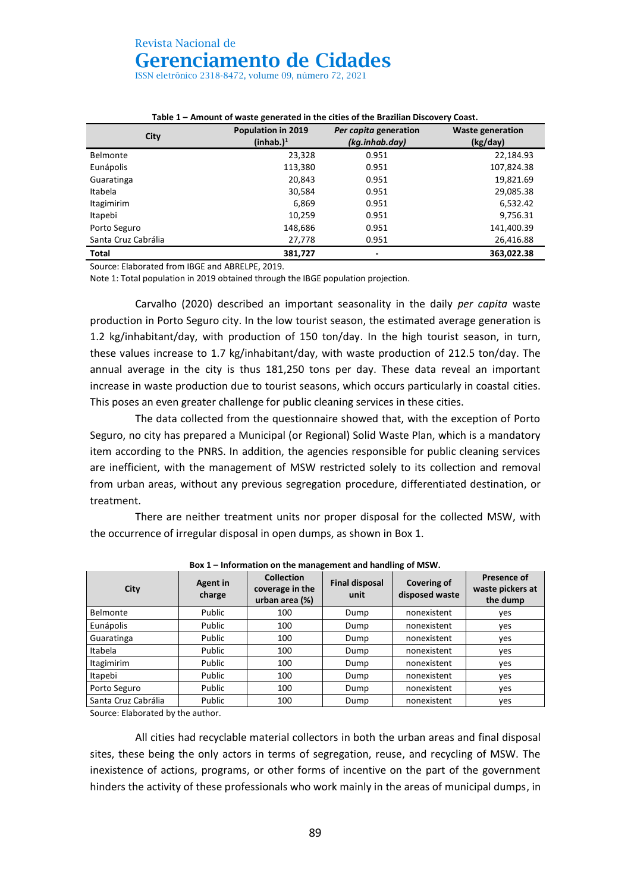ISSN eletrônico 2318-8472, volume 09, número 72, 2021

| City                | Population in 2019<br>(inhab.) <sup>1</sup> | Per capita generation<br>(kg.inhab.day) | <b>Waste generation</b><br>(kg/day) |
|---------------------|---------------------------------------------|-----------------------------------------|-------------------------------------|
| <b>Belmonte</b>     | 23,328                                      | 0.951                                   | 22,184.93                           |
| Eunápolis           | 113,380                                     | 0.951                                   | 107,824.38                          |
| Guaratinga          | 20,843                                      | 0.951                                   | 19,821.69                           |
| Itabela             | 30,584                                      | 0.951                                   | 29,085.38                           |
| <b>Itagimirim</b>   | 6,869                                       | 0.951                                   | 6,532.42                            |
| Itapebi             | 10,259                                      | 0.951                                   | 9,756.31                            |
| Porto Seguro        | 148,686                                     | 0.951                                   | 141,400.39                          |
| Santa Cruz Cabrália | 27.778                                      | 0.951                                   | 26,416.88                           |
| <b>Total</b>        | 381,727                                     | -                                       | 363,022.38                          |

#### **Table 1 – Amount of waste generated in the cities of the Brazilian Discovery Coast.**

Source: Elaborated from IBGE and ABRELPE, 2019.

Note 1: Total population in 2019 obtained through the IBGE population projection.

Carvalho (2020) described an important seasonality in the daily *per capita* waste production in Porto Seguro city. In the low tourist season, the estimated average generation is 1.2 kg/inhabitant/day, with production of 150 ton/day. In the high tourist season, in turn, these values increase to 1.7 kg/inhabitant/day, with waste production of 212.5 ton/day. The annual average in the city is thus 181,250 tons per day. These data reveal an important increase in waste production due to tourist seasons, which occurs particularly in coastal cities. This poses an even greater challenge for public cleaning services in these cities.

The data collected from the questionnaire showed that, with the exception of Porto Seguro, no city has prepared a Municipal (or Regional) Solid Waste Plan, which is a mandatory item according to the PNRS. In addition, the agencies responsible for public cleaning services are inefficient, with the management of MSW restricted solely to its collection and removal from urban areas, without any previous segregation procedure, differentiated destination, or treatment.

There are neither treatment units nor proper disposal for the collected MSW, with the occurrence of irregular disposal in open dumps, as shown in Box 1.

| City                | <b>Agent in</b><br>charge | <b>Collection</b><br>coverage in the<br>urban area (%) | <b>Final disposal</b><br>unit | Covering of<br>disposed waste | Presence of<br>waste pickers at<br>the dump |
|---------------------|---------------------------|--------------------------------------------------------|-------------------------------|-------------------------------|---------------------------------------------|
| <b>Belmonte</b>     | Public                    | 100                                                    | Dump                          | nonexistent                   | yes                                         |
| Eunápolis           | Public                    | 100                                                    | Dump                          | nonexistent                   | yes                                         |
| Guaratinga          | Public                    | 100                                                    | Dump                          | nonexistent                   | yes                                         |
| Itabela             | Public                    | 100                                                    | Dump                          | nonexistent                   | ves                                         |
| <b>Itagimirim</b>   | Public                    | 100                                                    | Dump                          | nonexistent                   | yes                                         |
| Itapebi             | Public                    | 100                                                    | Dump                          | nonexistent                   | yes                                         |
| Porto Seguro        | Public                    | 100                                                    | Dump                          | nonexistent                   | yes                                         |
| Santa Cruz Cabrália | Public                    | 100                                                    | Dump                          | nonexistent                   | ves                                         |

**Box 1 – Information on the management and handling of MSW.**

Source: Elaborated by the author.

All cities had recyclable material collectors in both the urban areas and final disposal sites, these being the only actors in terms of segregation, reuse, and recycling of MSW. The inexistence of actions, programs, or other forms of incentive on the part of the government hinders the activity of these professionals who work mainly in the areas of municipal dumps, in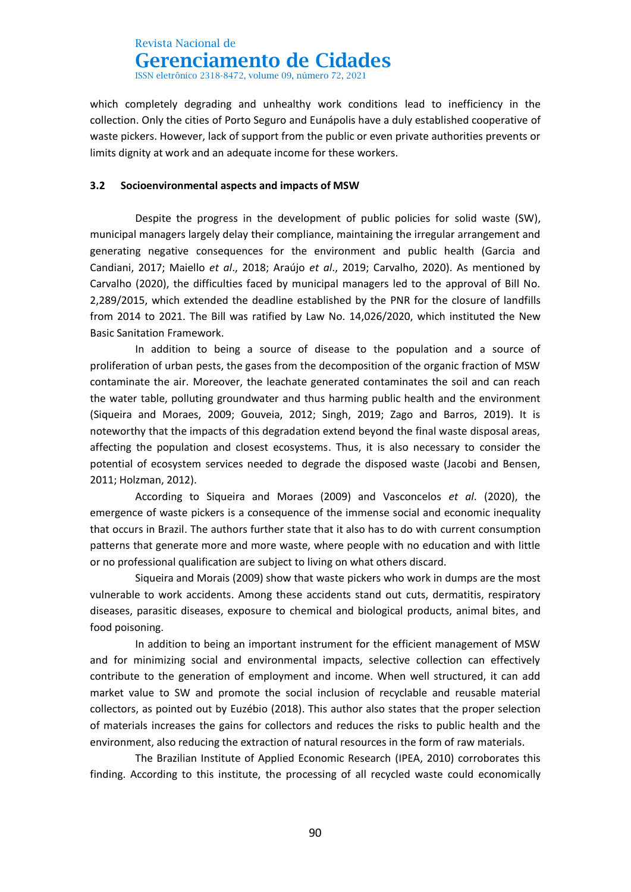ISSN eletrônico 2318-8472, volume 09, número 72, 2021

which completely degrading and unhealthy work conditions lead to inefficiency in the collection. Only the cities of Porto Seguro and Eunápolis have a duly established cooperative of waste pickers. However, lack of support from the public or even private authorities prevents or limits dignity at work and an adequate income for these workers.

#### **3.2 Socioenvironmental aspects and impacts of MSW**

Despite the progress in the development of public policies for solid waste (SW), municipal managers largely delay their compliance, maintaining the irregular arrangement and generating negative consequences for the environment and public health (Garcia and Candiani, 2017; Maiello *et al*., 2018; Araújo *et al*., 2019; Carvalho, 2020). As mentioned by Carvalho (2020), the difficulties faced by municipal managers led to the approval of Bill No. 2,289/2015, which extended the deadline established by the PNR for the closure of landfills from 2014 to 2021. The Bill was ratified by Law No. 14,026/2020, which instituted the New Basic Sanitation Framework.

In addition to being a source of disease to the population and a source of proliferation of urban pests, the gases from the decomposition of the organic fraction of MSW contaminate the air. Moreover, the leachate generated contaminates the soil and can reach the water table, polluting groundwater and thus harming public health and the environment (Siqueira and Moraes, 2009; Gouveia, 2012; Singh, 2019; Zago and Barros, 2019). It is noteworthy that the impacts of this degradation extend beyond the final waste disposal areas, affecting the population and closest ecosystems. Thus, it is also necessary to consider the potential of ecosystem services needed to degrade the disposed waste (Jacobi and Bensen, 2011; Holzman, 2012).

According to Siqueira and Moraes (2009) and Vasconcelos *et al*. (2020), the emergence of waste pickers is a consequence of the immense social and economic inequality that occurs in Brazil. The authors further state that it also has to do with current consumption patterns that generate more and more waste, where people with no education and with little or no professional qualification are subject to living on what others discard.

Siqueira and Morais (2009) show that waste pickers who work in dumps are the most vulnerable to work accidents. Among these accidents stand out cuts, dermatitis, respiratory diseases, parasitic diseases, exposure to chemical and biological products, animal bites, and food poisoning.

In addition to being an important instrument for the efficient management of MSW and for minimizing social and environmental impacts, selective collection can effectively contribute to the generation of employment and income. When well structured, it can add market value to SW and promote the social inclusion of recyclable and reusable material collectors, as pointed out by Euzébio (2018). This author also states that the proper selection of materials increases the gains for collectors and reduces the risks to public health and the environment, also reducing the extraction of natural resources in the form of raw materials.

The Brazilian Institute of Applied Economic Research (IPEA, 2010) corroborates this finding. According to this institute, the processing of all recycled waste could economically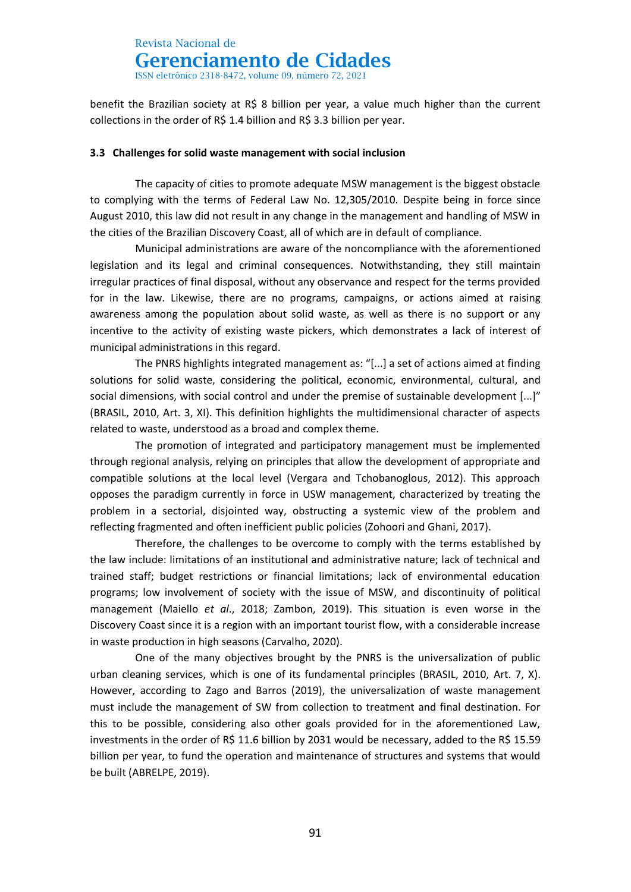ISSN eletrônico 2318-8472, volume 09, número 72, 2021

benefit the Brazilian society at R\$ 8 billion per year, a value much higher than the current collections in the order of R\$ 1.4 billion and R\$ 3.3 billion per year.

#### **3.3 Challenges for solid waste management with social inclusion**

The capacity of cities to promote adequate MSW management is the biggest obstacle to complying with the terms of Federal Law No. 12,305/2010. Despite being in force since August 2010, this law did not result in any change in the management and handling of MSW in the cities of the Brazilian Discovery Coast, all of which are in default of compliance.

Municipal administrations are aware of the noncompliance with the aforementioned legislation and its legal and criminal consequences. Notwithstanding, they still maintain irregular practices of final disposal, without any observance and respect for the terms provided for in the law. Likewise, there are no programs, campaigns, or actions aimed at raising awareness among the population about solid waste, as well as there is no support or any incentive to the activity of existing waste pickers, which demonstrates a lack of interest of municipal administrations in this regard.

The PNRS highlights integrated management as: "[...] a set of actions aimed at finding solutions for solid waste, considering the political, economic, environmental, cultural, and social dimensions, with social control and under the premise of sustainable development [...]" (BRASIL, 2010, Art. 3, XI). This definition highlights the multidimensional character of aspects related to waste, understood as a broad and complex theme.

The promotion of integrated and participatory management must be implemented through regional analysis, relying on principles that allow the development of appropriate and compatible solutions at the local level (Vergara and Tchobanoglous, 2012). This approach opposes the paradigm currently in force in USW management, characterized by treating the problem in a sectorial, disjointed way, obstructing a systemic view of the problem and reflecting fragmented and often inefficient public policies (Zohoori and Ghani, 2017).

Therefore, the challenges to be overcome to comply with the terms established by the law include: limitations of an institutional and administrative nature; lack of technical and trained staff; budget restrictions or financial limitations; lack of environmental education programs; low involvement of society with the issue of MSW, and discontinuity of political management (Maiello *et al*., 2018; Zambon, 2019). This situation is even worse in the Discovery Coast since it is a region with an important tourist flow, with a considerable increase in waste production in high seasons (Carvalho, 2020).

One of the many objectives brought by the PNRS is the universalization of public urban cleaning services, which is one of its fundamental principles (BRASIL, 2010, Art. 7, X). However, according to Zago and Barros (2019), the universalization of waste management must include the management of SW from collection to treatment and final destination. For this to be possible, considering also other goals provided for in the aforementioned Law, investments in the order of R\$ 11.6 billion by 2031 would be necessary, added to the R\$ 15.59 billion per year, to fund the operation and maintenance of structures and systems that would be built (ABRELPE, 2019).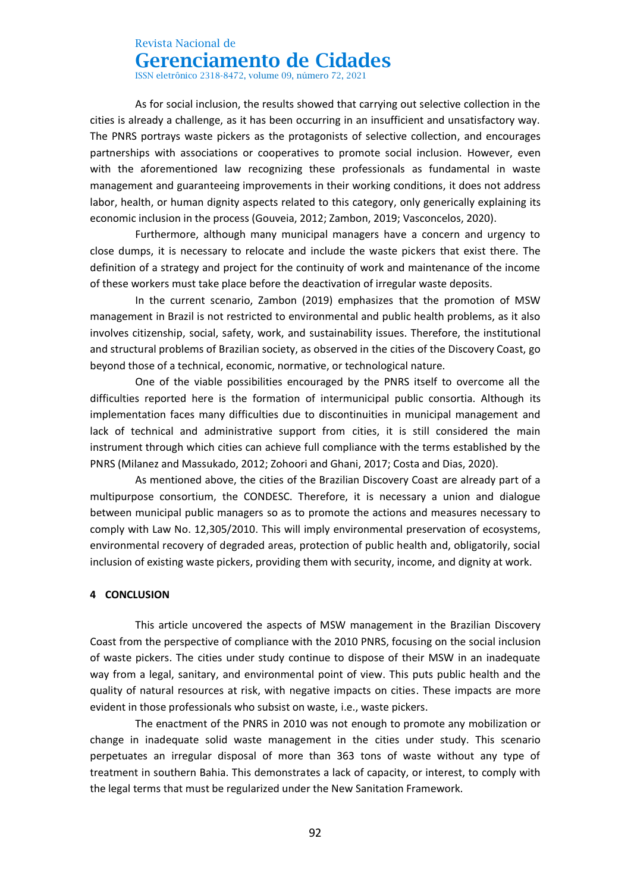# Revista Nacional de

**Gerenciamento de Cidades**

ISSN eletrônico 2318-8472, volume 09, número 72, 2021

As for social inclusion, the results showed that carrying out selective collection in the cities is already a challenge, as it has been occurring in an insufficient and unsatisfactory way. The PNRS portrays waste pickers as the protagonists of selective collection, and encourages partnerships with associations or cooperatives to promote social inclusion. However, even with the aforementioned law recognizing these professionals as fundamental in waste management and guaranteeing improvements in their working conditions, it does not address labor, health, or human dignity aspects related to this category, only generically explaining its economic inclusion in the process (Gouveia, 2012; Zambon, 2019; Vasconcelos, 2020).

Furthermore, although many municipal managers have a concern and urgency to close dumps, it is necessary to relocate and include the waste pickers that exist there. The definition of a strategy and project for the continuity of work and maintenance of the income of these workers must take place before the deactivation of irregular waste deposits.

In the current scenario, Zambon (2019) emphasizes that the promotion of MSW management in Brazil is not restricted to environmental and public health problems, as it also involves citizenship, social, safety, work, and sustainability issues. Therefore, the institutional and structural problems of Brazilian society, as observed in the cities of the Discovery Coast, go beyond those of a technical, economic, normative, or technological nature.

One of the viable possibilities encouraged by the PNRS itself to overcome all the difficulties reported here is the formation of intermunicipal public consortia. Although its implementation faces many difficulties due to discontinuities in municipal management and lack of technical and administrative support from cities, it is still considered the main instrument through which cities can achieve full compliance with the terms established by the PNRS (Milanez and Massukado, 2012; Zohoori and Ghani, 2017; Costa and Dias, 2020).

As mentioned above, the cities of the Brazilian Discovery Coast are already part of a multipurpose consortium, the CONDESC. Therefore, it is necessary a union and dialogue between municipal public managers so as to promote the actions and measures necessary to comply with Law No. 12,305/2010. This will imply environmental preservation of ecosystems, environmental recovery of degraded areas, protection of public health and, obligatorily, social inclusion of existing waste pickers, providing them with security, income, and dignity at work.

#### **4 CONCLUSION**

This article uncovered the aspects of MSW management in the Brazilian Discovery Coast from the perspective of compliance with the 2010 PNRS, focusing on the social inclusion of waste pickers. The cities under study continue to dispose of their MSW in an inadequate way from a legal, sanitary, and environmental point of view. This puts public health and the quality of natural resources at risk, with negative impacts on cities. These impacts are more evident in those professionals who subsist on waste, i.e., waste pickers.

The enactment of the PNRS in 2010 was not enough to promote any mobilization or change in inadequate solid waste management in the cities under study. This scenario perpetuates an irregular disposal of more than 363 tons of waste without any type of treatment in southern Bahia. This demonstrates a lack of capacity, or interest, to comply with the legal terms that must be regularized under the New Sanitation Framework.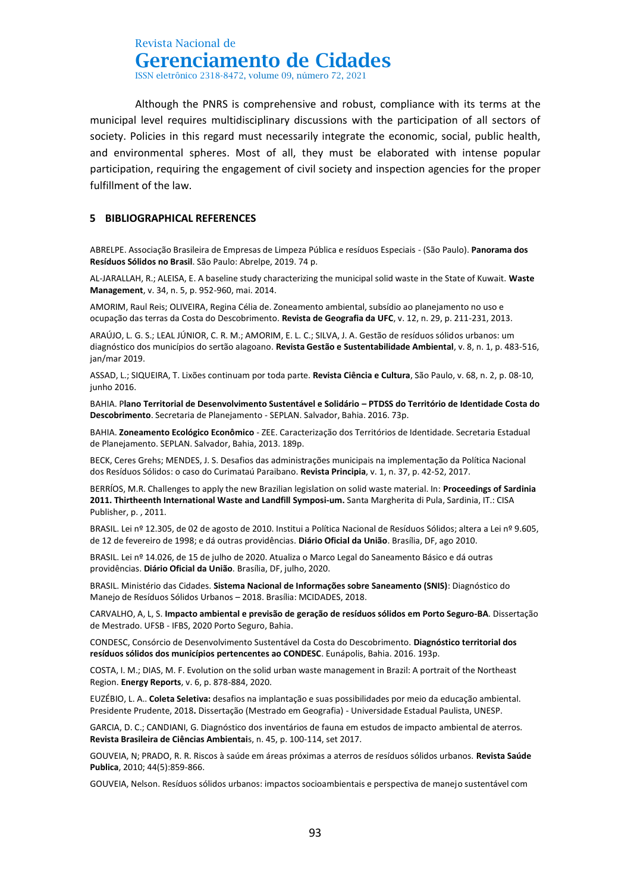ISSN eletrônico 2318-8472, volume 09, número 72, 2021

Although the PNRS is comprehensive and robust, compliance with its terms at the municipal level requires multidisciplinary discussions with the participation of all sectors of society. Policies in this regard must necessarily integrate the economic, social, public health, and environmental spheres. Most of all, they must be elaborated with intense popular participation, requiring the engagement of civil society and inspection agencies for the proper fulfillment of the law.

#### **5 BIBLIOGRAPHICAL REFERENCES**

ABRELPE. Associação Brasileira de Empresas de Limpeza Pública e resíduos Especiais - (São Paulo). **Panorama dos Resíduos Sólidos no Brasil**. São Paulo: Abrelpe, 2019. 74 p.

AL-JARALLAH, R.; ALEISA, E. A baseline study characterizing the municipal solid waste in the State of Kuwait. **Waste Management**, v. 34, n. 5, p. 952-960, mai. 2014.

AMORIM, Raul Reis; OLIVEIRA, Regina Célia de. Zoneamento ambiental, subsídio ao planejamento no uso e ocupação das terras da Costa do Descobrimento. **Revista de Geografia da UFC**, v. 12, n. 29, p. 211-231, 2013.

ARAÚJO, L. G. S.; LEAL JÚNIOR, C. R. M.; AMORIM, E. L. C.; SILVA, J. A. Gestão de resíduos sólidos urbanos: um diagnóstico dos municípios do sertão alagoano. **Revista Gestão e Sustentabilidade Ambiental**, v. 8, n. 1, p. 483-516, jan/mar 2019.

ASSAD, L.; SIQUEIRA, T. Lixões continuam por toda parte. **Revista Ciência e Cultura**, São Paulo, v. 68, n. 2, p. 08-10, junho 2016.

BAHIA. P**lano Territorial de Desenvolvimento Sustentável e Solidário – PTDSS do Território de Identidade Costa do Descobrimento**. Secretaria de Planejamento - SEPLAN. Salvador, Bahia. 2016. 73p.

BAHIA. **Zoneamento Ecológico Econômico** - ZEE. Caracterização dos Territórios de Identidade. Secretaria Estadual de Planejamento. SEPLAN. Salvador, Bahia, 2013. 189p.

BECK, Ceres Grehs; MENDES, J. S. Desafios das administrações municipais na implementação da Política Nacional dos Resíduos Sólidos: o caso do Curimataú Paraibano. **Revista Principia**, v. 1, n. 37, p. 42-52, 2017.

BERRÍOS, M.R. Challenges to apply the new Brazilian legislation on solid waste material. In: **Proceedings of Sardinia 2011. Thirtheenth International Waste and Landfill Symposi-um.** Santa Margherita di Pula, Sardinia, IT.: CISA Publisher, p. , 2011.

BRASIL. Lei nº 12.305, de 02 de agosto de 2010. Institui a Política Nacional de Resíduos Sólidos; altera a Lei nº 9.605, de 12 de fevereiro de 1998; e dá outras providências. **Diário Oficial da União**. Brasília, DF, ago 2010.

BRASIL. Lei nº 14.026, de 15 de julho de 2020. Atualiza o Marco Legal do Saneamento Básico e dá outras providências. **Diário Oficial da União**. Brasília, DF, julho, 2020.

BRASIL. Ministério das Cidades. **Sistema Nacional de Informações sobre Saneamento (SNIS)**: Diagnóstico do Manejo de Resíduos Sólidos Urbanos – 2018. Brasília: MCIDADES, 2018.

CARVALHO, A, L, S. **Impacto ambiental e previsão de geração de resíduos sólidos em Porto Seguro-BA**. Dissertação de Mestrado. UFSB - IFBS, 2020 Porto Seguro, Bahia.

CONDESC, Consórcio de Desenvolvimento Sustentável da Costa do Descobrimento. **Diagnóstico territorial dos resíduos sólidos dos municípios pertencentes ao CONDESC**. Eunápolis, Bahia. 2016. 193p.

COSTA, I. M.; DIAS, M. F. Evolution on the solid urban waste management in Brazil: A portrait of the Northeast Region. **Energy Reports**, v. 6, p. 878-884, 2020.

EUZÉBIO, L. A.. **Coleta Seletiva:** desafios na implantação e suas possibilidades por meio da educação ambiental. Presidente Prudente, 2018**.** Dissertação (Mestrado em Geografia) - Universidade Estadual Paulista, UNESP.

GARCIA, D. C.; CANDIANI, G. Diagnóstico dos inventários de fauna em estudos de impacto ambiental de aterros. **Revista Brasileira de Ciências Ambientai**s, n. 45, p. 100-114, set 2017.

GOUVEIA, N; PRADO, R. R. Riscos à saúde em áreas próximas a aterros de resíduos sólidos urbanos. **Revista Saúde Publica**, 2010; 44(5):859-866.

GOUVEIA, Nelson. Resíduos sólidos urbanos: impactos socioambientais e perspectiva de manejo sustentável com